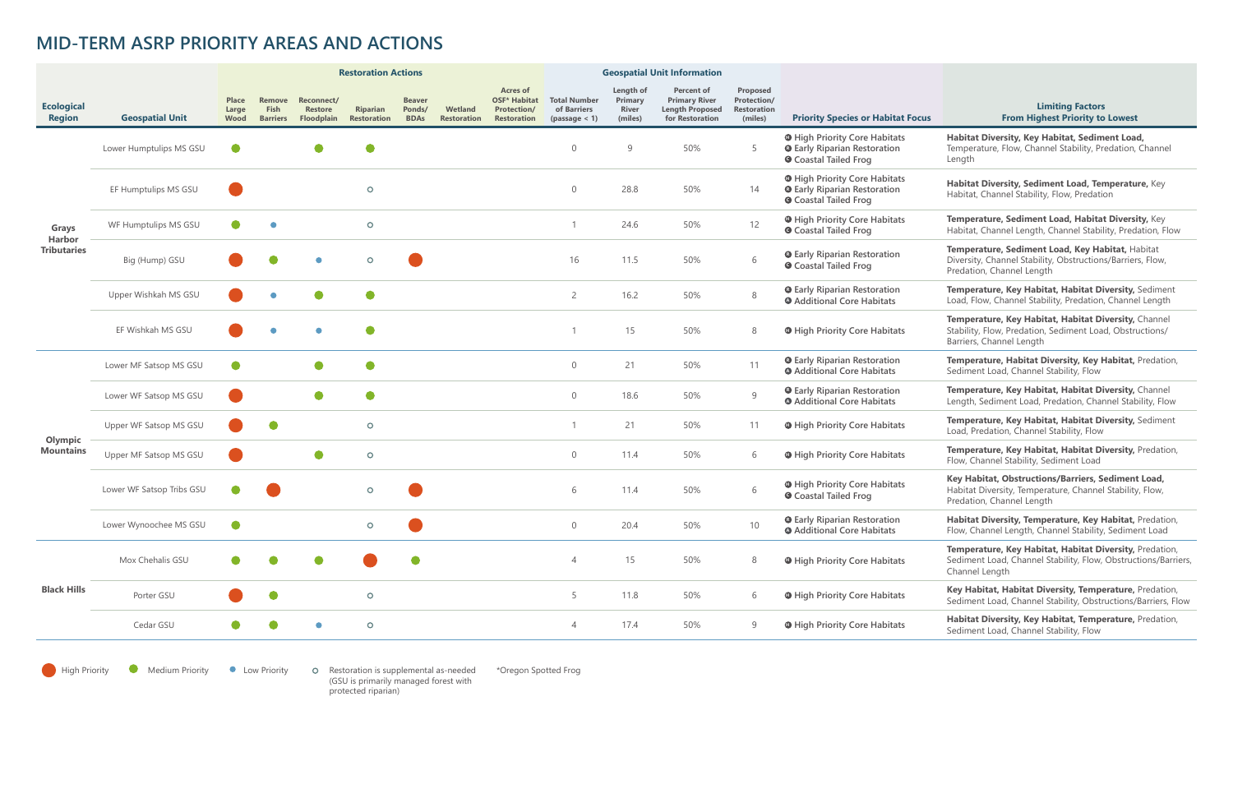|                                              |                           | <b>Restoration Actions</b>    |                                          |                                            |                                       |                                        |                               |                                                                                    | <b>Geospatial Unit Information</b>                  |                                                 |                                                                                        |                                                          |                                                                                                             |                                                                                                                                              |
|----------------------------------------------|---------------------------|-------------------------------|------------------------------------------|--------------------------------------------|---------------------------------------|----------------------------------------|-------------------------------|------------------------------------------------------------------------------------|-----------------------------------------------------|-------------------------------------------------|----------------------------------------------------------------------------------------|----------------------------------------------------------|-------------------------------------------------------------------------------------------------------------|----------------------------------------------------------------------------------------------------------------------------------------------|
| <b>Ecological</b><br><b>Region</b>           | <b>Geospatial Unit</b>    | <b>Place</b><br>Large<br>Wood | Remove<br><b>Fish</b><br><b>Barriers</b> | Reconnect/<br><b>Restore</b><br>Floodplain | <b>Riparian</b><br><b>Restoration</b> | <b>Beaver</b><br>Ponds/<br><b>BDAs</b> | Wetland<br><b>Restoration</b> | <b>Acres of</b><br><b>OSF* Habitat</b><br><b>Protection/</b><br><b>Restoration</b> | <b>Total Number</b><br>of Barriers<br>(passage < 1) | Length of<br>Primary<br><b>River</b><br>(miles) | <b>Percent of</b><br><b>Primary River</b><br><b>Length Proposed</b><br>for Restoration | Proposed<br>Protection/<br><b>Restoration</b><br>(miles) | <b>Priority Species or Habitat Focus</b>                                                                    | <b>Limiting Factors</b><br><b>From Highest Priority to Lowest</b>                                                                            |
| Grays<br><b>Harbor</b><br><b>Tributaries</b> | Lower Humptulips MS GSU   |                               |                                          |                                            |                                       |                                        |                               |                                                                                    | $\bigcap$                                           | 9                                               | 50%                                                                                    | 5                                                        | <b>O</b> High Priority Core Habitats<br><b>Q</b> Early Riparian Restoration<br><b>O</b> Coastal Tailed Frog | Habitat Diversity, Key Habitat, Sediment Load,<br>Temperature, Flow, Channel Stability, Predation, Channel<br>Length                         |
|                                              | EF Humptulips MS GSU      |                               |                                          |                                            | $\circ$                               |                                        |                               |                                                                                    | $\overline{0}$                                      | 28.8                                            | 50%                                                                                    | 14                                                       | <b>O</b> High Priority Core Habitats<br><b>Q</b> Early Riparian Restoration<br><b>O</b> Coastal Tailed Frog | Habitat Diversity, Sediment Load, Temperature, Key<br>Habitat, Channel Stability, Flow, Predation                                            |
|                                              | WF Humptulips MS GSU      |                               |                                          |                                            | $\circ$                               |                                        |                               |                                                                                    |                                                     | 24.6                                            | 50%                                                                                    | 12                                                       | <b>O</b> High Priority Core Habitats<br><b>O</b> Coastal Tailed Frog                                        | Temperature, Sediment Load, Habitat Diversity, Key<br>Habitat, Channel Length, Channel Stability, Predation, Flow                            |
|                                              | Big (Hump) GSU            |                               |                                          |                                            | $\circ$                               |                                        |                               |                                                                                    | 16                                                  | 11.5                                            | 50%                                                                                    | 6                                                        | <b>Q</b> Early Riparian Restoration<br><b>O</b> Coastal Tailed Frog                                         | Temperature, Sediment Load, Key Habitat, Habitat<br>Diversity, Channel Stability, Obstructions/Barriers, Flow,<br>Predation, Channel Length  |
|                                              | Upper Wishkah MS GSU      |                               |                                          |                                            | $\bullet$                             |                                        |                               |                                                                                    | $\overline{2}$                                      | 16.2                                            | 50%                                                                                    | 8                                                        | <b>Q</b> Early Riparian Restoration<br><b>O</b> Additional Core Habitats                                    | Temperature, Key Habitat, Habitat Diversity, Sediment<br>Load, Flow, Channel Stability, Predation, Channel Length                            |
|                                              | EF Wishkah MS GSU         |                               |                                          |                                            |                                       |                                        |                               |                                                                                    |                                                     | 15                                              | 50%                                                                                    | 8                                                        | <b>O</b> High Priority Core Habitats                                                                        | Temperature, Key Habitat, Habitat Diversity, Channel<br>Stability, Flow, Predation, Sediment Load, Obstructions/<br>Barriers, Channel Length |
| Olympic<br><b>Mountains</b>                  | Lower MF Satsop MS GSU    |                               |                                          |                                            | $\bullet$                             |                                        |                               |                                                                                    | $\Omega$                                            | 21                                              | 50%                                                                                    | 11                                                       | <b>O</b> Early Riparian Restoration<br><b>O</b> Additional Core Habitats                                    | Temperature, Habitat Diversity, Key Habitat, Predation,<br>Sediment Load, Channel Stability, Flow                                            |
|                                              | Lower WF Satsop MS GSU    |                               |                                          |                                            | $\bullet$                             |                                        |                               |                                                                                    | $\overline{0}$                                      | 18.6                                            | 50%                                                                                    | 9                                                        | <b>Q</b> Early Riparian Restoration<br><b>O</b> Additional Core Habitats                                    | Temperature, Key Habitat, Habitat Diversity, Channel<br>Length, Sediment Load, Predation, Channel Stability, Flow                            |
|                                              | Upper WF Satsop MS GSU    |                               |                                          |                                            | $\circ$                               |                                        |                               |                                                                                    |                                                     | 21                                              | 50%                                                                                    | 11                                                       | <b>O</b> High Priority Core Habitats                                                                        | Temperature, Key Habitat, Habitat Diversity, Sediment<br>Load, Predation, Channel Stability, Flow                                            |
|                                              | Upper MF Satsop MS GSU    |                               |                                          |                                            | $\circ$                               |                                        |                               |                                                                                    | $\overline{0}$                                      | 11.4                                            | 50%                                                                                    | 6                                                        | <b>O</b> High Priority Core Habitats                                                                        | Temperature, Key Habitat, Habitat Diversity, Predation,<br>Flow, Channel Stability, Sediment Load                                            |
|                                              | Lower WF Satsop Tribs GSU |                               |                                          |                                            | $\circ$                               |                                        |                               |                                                                                    | 6                                                   | 11.4                                            | 50%                                                                                    | 6                                                        | <b>O</b> High Priority Core Habitats<br><b>O</b> Coastal Tailed Frog                                        | Key Habitat, Obstructions/Barriers, Sediment Load,<br>Habitat Diversity, Temperature, Channel Stability, Flow,<br>Predation, Channel Length  |
|                                              | Lower Wynoochee MS GSU    |                               |                                          |                                            | $\circ$                               |                                        |                               |                                                                                    | $\overline{0}$                                      | 20.4                                            | 50%                                                                                    | 10                                                       | <b>O</b> Early Riparian Restoration<br><b>O</b> Additional Core Habitats                                    | Habitat Diversity, Temperature, Key Habitat, Predation,<br>Flow, Channel Length, Channel Stability, Sediment Load                            |
| <b>Black Hills</b>                           | Mox Chehalis GSU          | $\bullet$                     |                                          |                                            |                                       | $\bullet$                              |                               |                                                                                    | $\overline{4}$                                      | 15                                              | 50%                                                                                    | 8                                                        | <b>O</b> High Priority Core Habitats                                                                        | Temperature, Key Habitat, Habitat Diversity, Predation,<br>Sediment Load, Channel Stability, Flow, Obstructions/Barriers,<br>Channel Length  |
|                                              | Porter GSU                |                               |                                          |                                            | $\circ$                               |                                        |                               |                                                                                    | 5                                                   | 11.8                                            | 50%                                                                                    | 6                                                        | <b>O</b> High Priority Core Habitats                                                                        | Key Habitat, Habitat Diversity, Temperature, Predation,<br>Sediment Load, Channel Stability, Obstructions/Barriers, Flow                     |
|                                              | Cedar GSU                 |                               |                                          |                                            | $\circ$                               |                                        |                               |                                                                                    | $\overline{4}$                                      | 17.4                                            | 50%                                                                                    | 9                                                        | <b>O</b> High Priority Core Habitats                                                                        | Habitat Diversity, Key Habitat, Temperature, Predation,<br>Sediment Load, Channel Stability, Flow                                            |
|                                              |                           |                               |                                          |                                            |                                       |                                        |                               |                                                                                    |                                                     |                                                 |                                                                                        |                                                          |                                                                                                             |                                                                                                                                              |

High Priority Comedium Priority Comedian Priority Comestoration is supplemental as-needed (GSU is primarily managed forest with protected riparian)

## **MID-TERM ASRP PRIORITY AREAS AND ACTIONS**

\*Oregon Spotted Frog